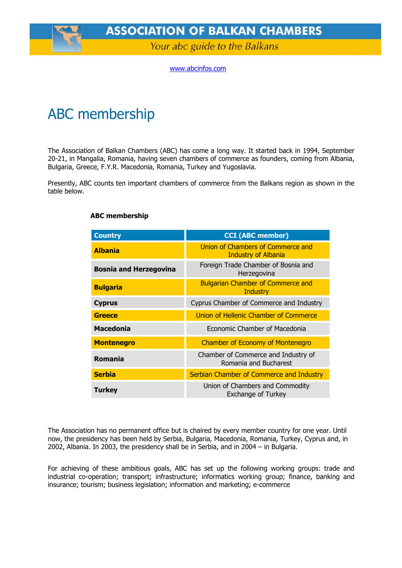**ASSOCIATION OF BALKAN CHAMBERS** 

Your abc guide to the Balkans

[www.abcinfos.com](http://www.abcinfos.com/)

## ABC membership

The Association of Balkan Chambers (ABC) has come a long way. It started back in 1994, September 20-21, in Mangalia, Romania, having seven chambers of commerce as founders, coming from Albania, Bulgaria, Greece, F.Y.R. Macedonia, Romania, Turkey and Yugoslavia.

Presently, ABC counts ten important chambers of commerce from the Balkans region as shown in the table below.

| <b>Country</b>                | <b>CCI (ABC member)</b>                                         |
|-------------------------------|-----------------------------------------------------------------|
| <b>Albania</b>                | Union of Chambers of Commerce and<br><b>Industry of Albania</b> |
| <b>Bosnia and Herzegovina</b> | Foreign Trade Chamber of Bosnia and<br>Herzegovina              |
| <b>Bulgaria</b>               | <b>Bulgarian Chamber of Commerce and</b><br>Industry            |
| <b>Cyprus</b>                 | Cyprus Chamber of Commerce and Industry                         |
| <b>Greece</b>                 | Union of Hellenic Chamber of Commerce                           |
| <b>Macedonia</b>              | Economic Chamber of Macedonia                                   |
| <b>Montenegro</b>             | <b>Chamber of Economy of Montenegro</b>                         |
| Romania                       | Chamber of Commerce and Industry of<br>Romania and Bucharest    |
| <b>Serbia</b>                 | Serbian Chamber of Commerce and Industry                        |
| <b>Turkey</b>                 | Union of Chambers and Commodity<br><b>Exchange of Turkey</b>    |

## **ABC membership**

The Association has no permanent office but is chaired by every member country for one year. Until now, the presidency has been held by Serbia, Bulgaria, Macedonia, Romania, Turkey, Cyprus and, in 2002, Albania. In 2003, the presidency shall be in Serbia, and in 2004 – in Bulgaria.

For achieving of these ambitious goals, ABC has set up the following working groups: trade and industrial co-operation; transport; infrastructure; informatics working group; finance, banking and insurance; tourism; business legislation; information and marketing; e-commerce